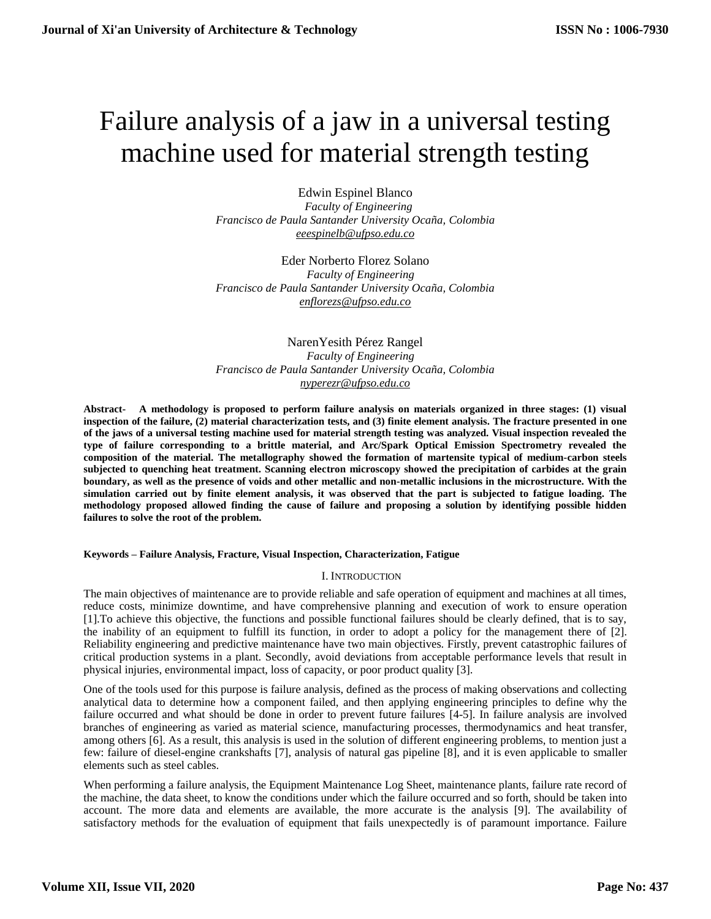# Failure analysis of a jaw in a universal testing machine used for material strength testing

Edwin Espinel Blanco  *Faculty of Engineering Francisco de Paula Santander University Ocaña, Colombia [eeespinelb@ufpso.edu.co](mailto:eeespinelb@ufpso.edu.co)* 

Eder Norberto Florez Solano  *Faculty of Engineering Francisco de Paula Santander University Ocaña, Colombia [enflorezs@ufpso.edu.co](mailto:enflorezs@ufpso.edu.co)* 

NarenYesith Pérez Rangel  *Faculty of Engineering Francisco de Paula Santander University Ocaña, Colombia [nyperezr@ufpso.edu.co](mailto:nyperezr@ufpso.edu.co)* 

**Abstract- A methodology is proposed to perform failure analysis on materials organized in three stages: (1) visual inspection of the failure, (2) material characterization tests, and (3) finite element analysis. The fracture presented in one of the jaws of a universal testing machine used for material strength testing was analyzed. Visual inspection revealed the type of failure corresponding to a brittle material, and Arc/Spark Optical Emission Spectrometry revealed the composition of the material. The metallography showed the formation of martensite typical of medium-carbon steels subjected to quenching heat treatment. Scanning electron microscopy showed the precipitation of carbides at the grain boundary, as well as the presence of voids and other metallic and non-metallic inclusions in the microstructure. With the simulation carried out by finite element analysis, it was observed that the part is subjected to fatigue loading. The methodology proposed allowed finding the cause of failure and proposing a solution by identifying possible hidden failures to solve the root of the problem.**

#### **Keywords – Failure Analysis, Fracture, Visual Inspection, Characterization, Fatigue**

## I. INTRODUCTION

The main objectives of maintenance are to provide reliable and safe operation of equipment and machines at all times, reduce costs, minimize downtime, and have comprehensive planning and execution of work to ensure operation [1].To achieve this objective, the functions and possible functional failures should be clearly defined, that is to say, the inability of an equipment to fulfill its function, in order to adopt a policy for the management there of [2]. Reliability engineering and predictive maintenance have two main objectives. Firstly, prevent catastrophic failures of critical production systems in a plant. Secondly, avoid deviations from acceptable performance levels that result in physical injuries, environmental impact, loss of capacity, or poor product quality [3].

One of the tools used for this purpose is failure analysis, defined as the process of making observations and collecting analytical data to determine how a component failed, and then applying engineering principles to define why the failure occurred and what should be done in order to prevent future failures [4-5]. In failure analysis are involved branches of engineering as varied as material science, manufacturing processes, thermodynamics and heat transfer, among others [6]. As a result, this analysis is used in the solution of different engineering problems, to mention just a few: failure of diesel-engine crankshafts [7], analysis of natural gas pipeline [8], and it is even applicable to smaller elements such as steel cables.

When performing a failure analysis, the Equipment Maintenance Log Sheet, maintenance plants, failure rate record of the machine, the data sheet, to know the conditions under which the failure occurred and so forth, should be taken into account. The more data and elements are available, the more accurate is the analysis [9]. The availability of satisfactory methods for the evaluation of equipment that fails unexpectedly is of paramount importance. Failure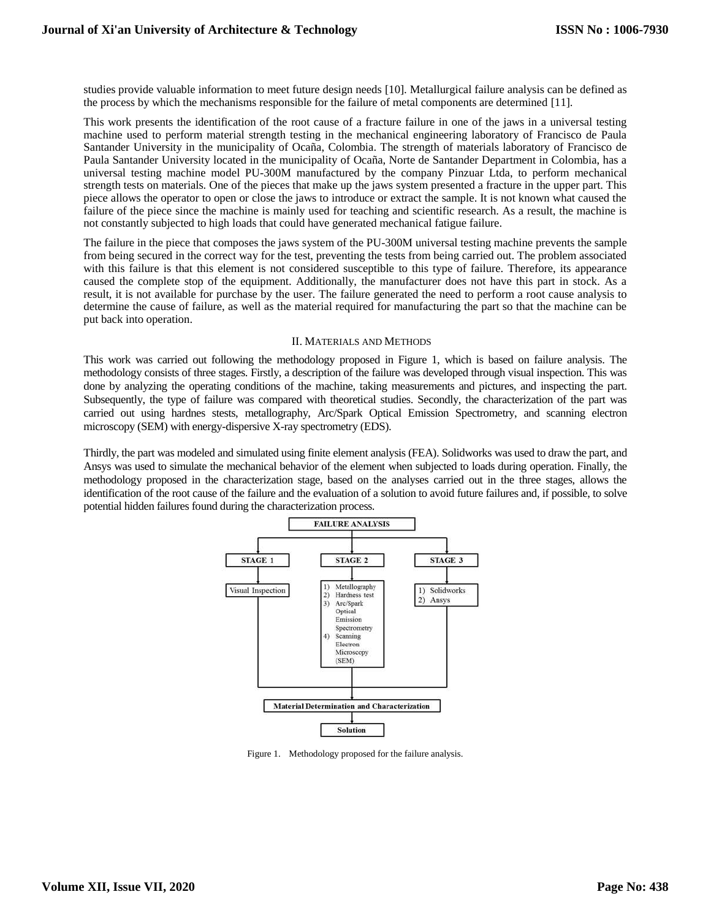studies provide valuable information to meet future design needs [10]. Metallurgical failure analysis can be defined as the process by which the mechanisms responsible for the failure of metal components are determined [11].

This work presents the identification of the root cause of a fracture failure in one of the jaws in a universal testing machine used to perform material strength testing in the mechanical engineering laboratory of Francisco de Paula Santander University in the municipality of Ocaña, Colombia. The strength of materials laboratory of Francisco de Paula Santander University located in the municipality of Ocaña, Norte de Santander Department in Colombia, has a universal testing machine model PU-300M manufactured by the company Pinzuar Ltda, to perform mechanical strength tests on materials. One of the pieces that make up the jaws system presented a fracture in the upper part. This piece allows the operator to open or close the jaws to introduce or extract the sample. It is not known what caused the failure of the piece since the machine is mainly used for teaching and scientific research. As a result, the machine is not constantly subjected to high loads that could have generated mechanical fatigue failure.

The failure in the piece that composes the jaws system of the PU-300M universal testing machine prevents the sample from being secured in the correct way for the test, preventing the tests from being carried out. The problem associated with this failure is that this element is not considered susceptible to this type of failure. Therefore, its appearance caused the complete stop of the equipment. Additionally, the manufacturer does not have this part in stock. As a result, it is not available for purchase by the user. The failure generated the need to perform a root cause analysis to determine the cause of failure, as well as the material required for manufacturing the part so that the machine can be put back into operation.

#### II. MATERIALS AND METHODS

This work was carried out following the methodology proposed in Figure 1, which is based on failure analysis. The methodology consists of three stages. Firstly, a description of the failure was developed through visual inspection. This was done by analyzing the operating conditions of the machine, taking measurements and pictures, and inspecting the part. Subsequently, the type of failure was compared with theoretical studies. Secondly, the characterization of the part was carried out using hardnes stests, metallography, Arc/Spark Optical Emission Spectrometry, and scanning electron microscopy (SEM) with energy-dispersive X-ray spectrometry (EDS).

Thirdly, the part was modeled and simulated using finite element analysis (FEA). Solidworks was used to draw the part, and Ansys was used to simulate the mechanical behavior of the element when subjected to loads during operation. Finally, the methodology proposed in the characterization stage, based on the analyses carried out in the three stages, allows the identification of the root cause of the failure and the evaluation of a solution to avoid future failures and, if possible, to solve potential hidden failures found during the characterization process.



Figure 1. Methodology proposed for the failure analysis.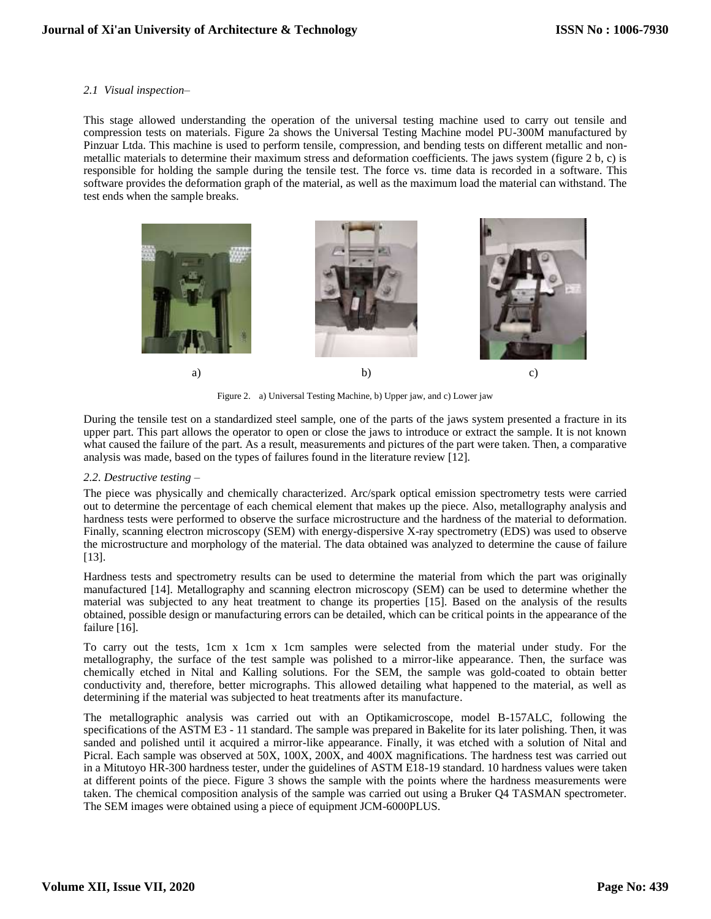## *2.1 Visual inspection–*

This stage allowed understanding the operation of the universal testing machine used to carry out tensile and compression tests on materials. Figure 2a shows the Universal Testing Machine model PU-300M manufactured by Pinzuar Ltda. This machine is used to perform tensile, compression, and bending tests on different metallic and nonmetallic materials to determine their maximum stress and deformation coefficients. The jaws system (figure 2 b, c) is responsible for holding the sample during the tensile test. The force vs. time data is recorded in a software. This software provides the deformation graph of the material, as well as the maximum load the material can withstand. The test ends when the sample breaks.



Figure 2. a) Universal Testing Machine, b) Upper jaw, and c) Lower jaw

During the tensile test on a standardized steel sample, one of the parts of the jaws system presented a fracture in its upper part. This part allows the operator to open or close the jaws to introduce or extract the sample. It is not known what caused the failure of the part. As a result, measurements and pictures of the part were taken. Then, a comparative analysis was made, based on the types of failures found in the literature review [12].

## *2.2. Destructive testing –*

The piece was physically and chemically characterized. Arc/spark optical emission spectrometry tests were carried out to determine the percentage of each chemical element that makes up the piece. Also, metallography analysis and hardness tests were performed to observe the surface microstructure and the hardness of the material to deformation. Finally, scanning electron microscopy (SEM) with energy-dispersive X-ray spectrometry (EDS) was used to observe the microstructure and morphology of the material. The data obtained was analyzed to determine the cause of failure [13].

Hardness tests and spectrometry results can be used to determine the material from which the part was originally manufactured [14]. Metallography and scanning electron microscopy (SEM) can be used to determine whether the material was subjected to any heat treatment to change its properties [15]. Based on the analysis of the results obtained, possible design or manufacturing errors can be detailed, which can be critical points in the appearance of the failure [16].

To carry out the tests, 1cm x 1cm x 1cm samples were selected from the material under study. For the metallography, the surface of the test sample was polished to a mirror-like appearance. Then, the surface was chemically etched in Nital and Kalling solutions. For the SEM, the sample was gold-coated to obtain better conductivity and, therefore, better micrographs. This allowed detailing what happened to the material, as well as determining if the material was subjected to heat treatments after its manufacture.

The metallographic analysis was carried out with an Optikamicroscope, model B-157ALC, following the specifications of the ASTM E3 - 11 standard. The sample was prepared in Bakelite for its later polishing. Then, it was sanded and polished until it acquired a mirror-like appearance. Finally, it was etched with a solution of Nital and Picral. Each sample was observed at 50X, 100X, 200X, and 400X magnifications. The hardness test was carried out in a Mitutoyo HR-300 hardness tester, under the guidelines of ASTM E18-19 standard. 10 hardness values were taken at different points of the piece. Figure 3 shows the sample with the points where the hardness measurements were taken. The chemical composition analysis of the sample was carried out using a Bruker Q4 TASMAN spectrometer. The SEM images were obtained using a piece of equipment JCM-6000PLUS.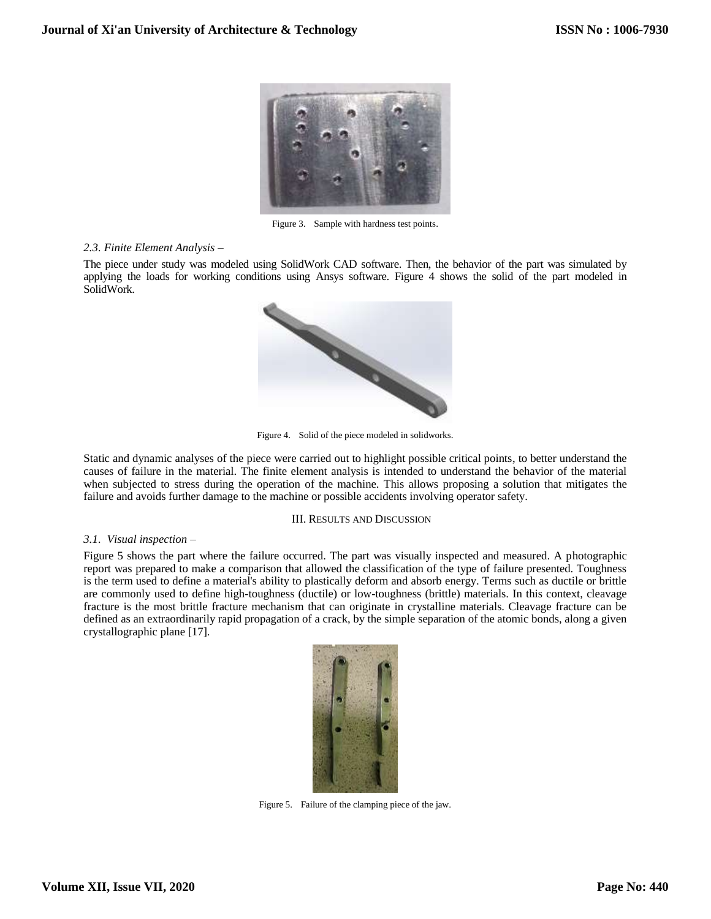

Figure 3. Sample with hardness test points.

#### *2.3. Finite Element Analysis –*

The piece under study was modeled using SolidWork CAD software. Then, the behavior of the part was simulated by applying the loads for working conditions using Ansys software. Figure 4 shows the solid of the part modeled in SolidWork.



Figure 4. Solid of the piece modeled in solidworks.

Static and dynamic analyses of the piece were carried out to highlight possible critical points, to better understand the causes of failure in the material. The finite element analysis is intended to understand the behavior of the material when subjected to stress during the operation of the machine. This allows proposing a solution that mitigates the failure and avoids further damage to the machine or possible accidents involving operator safety.

#### III. RESULTS AND DISCUSSION

## *3.1. Visual inspection –*

Figure 5 shows the part where the failure occurred. The part was visually inspected and measured. A photographic report was prepared to make a comparison that allowed the classification of the type of failure presented. Toughness is the term used to define a material's ability to plastically deform and absorb energy. Terms such as ductile or brittle are commonly used to define high-toughness (ductile) or low-toughness (brittle) materials. In this context, cleavage fracture is the most brittle fracture mechanism that can originate in crystalline materials. Cleavage fracture can be defined as an extraordinarily rapid propagation of a crack, by the simple separation of the atomic bonds, along a given crystallographic plane [17].



Figure 5. Failure of the clamping piece of the jaw.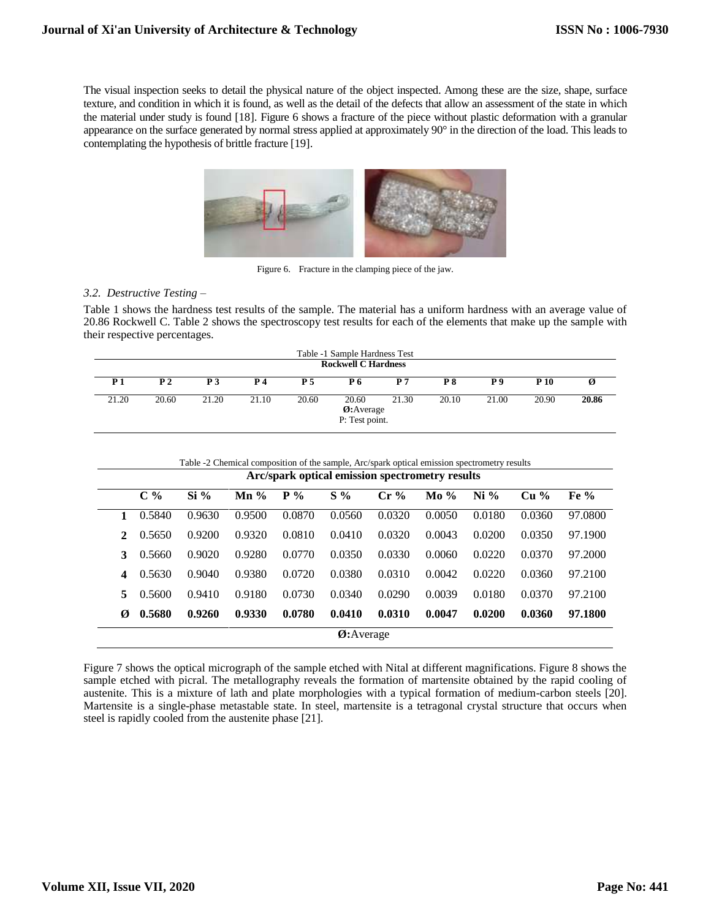The visual inspection seeks to detail the physical nature of the object inspected. Among these are the size, shape, surface texture, and condition in which it is found, as well as the detail of the defects that allow an assessment of the state in which the material under study is found [18]. Figure 6 shows a fracture of the piece without plastic deformation with a granular appearance on the surface generated by normal stress applied at approximately 90° in the direction of the load. This leads to contemplating the hypothesis of brittle fracture [19].



Figure 6. Fracture in the clamping piece of the jaw.

# *3.2. Destructive Testing –*

Table 1 shows the hardness test results of the sample. The material has a uniform hardness with an average value of 20.86 Rockwell C. Table 2 shows the spectroscopy test results for each of the elements that make up the sample with their respective percentages.

| Table -1 Sample Hardness Test<br><b>Rockwell C Hardness</b> |                |           |           |            |                                      |            |       |       |             |       |
|-------------------------------------------------------------|----------------|-----------|-----------|------------|--------------------------------------|------------|-------|-------|-------------|-------|
| <b>P</b> 1                                                  | P <sub>2</sub> | <b>P3</b> | <b>P4</b> | <b>P</b> 5 | P 6                                  | <b>P</b> 7 | P8    | P9    | <b>P</b> 10 |       |
| 21.20                                                       | 20.60          | 21.20     | 21.10     | 20.60      | 20.60<br>Ø:Average<br>P: Test point. | 21.30      | 20.10 | 21.00 | 20.90       | 20.86 |

| Arc/spark optical emission spectrometry results |        |        |                 |        |        |        |        |        |                                |         |
|-------------------------------------------------|--------|--------|-----------------|--------|--------|--------|--------|--------|--------------------------------|---------|
|                                                 | $C\%$  | $Si\%$ | $\mathbf{Mn}$ % | $P\%$  | $S\%$  | Cr%    | $Mo\%$ | $Ni\%$ | Cu <sup>9</sup> / <sub>0</sub> | Fe $\%$ |
|                                                 | 0.5840 | 0.9630 | 0.9500          | 0.0870 | 0.0560 | 0.0320 | 0.0050 | 0.0180 | 0.0360                         | 97.0800 |
| 2                                               | 0.5650 | 0.9200 | 0.9320          | 0.0810 | 0.0410 | 0.0320 | 0.0043 | 0.0200 | 0.0350                         | 97.1900 |
| 3                                               | 0.5660 | 0.9020 | 0.9280          | 0.0770 | 0.0350 | 0.0330 | 0.0060 | 0.0220 | 0.0370                         | 97.2000 |
| 4                                               | 0.5630 | 0.9040 | 0.9380          | 0.0720 | 0.0380 | 0.0310 | 0.0042 | 0.0220 | 0.0360                         | 97.2100 |
| 5                                               | 0.5600 | 0.9410 | 0.9180          | 0.0730 | 0.0340 | 0.0290 | 0.0039 | 0.0180 | 0.0370                         | 97.2100 |
| Ø                                               | 0.5680 | 0.9260 | 0.9330          | 0.0780 | 0.0410 | 0.0310 | 0.0047 | 0.0200 | 0.0360                         | 97.1800 |

Figure 7 shows the optical micrograph of the sample etched with Nital at different magnifications. Figure 8 shows the sample etched with picral. The metallography reveals the formation of martensite obtained by the rapid cooling of austenite. This is a mixture of lath and plate morphologies with a typical formation of medium-carbon steels [20]. Martensite is a single-phase metastable state. In steel, martensite is a tetragonal crystal structure that occurs when steel is rapidly cooled from the austenite phase [21].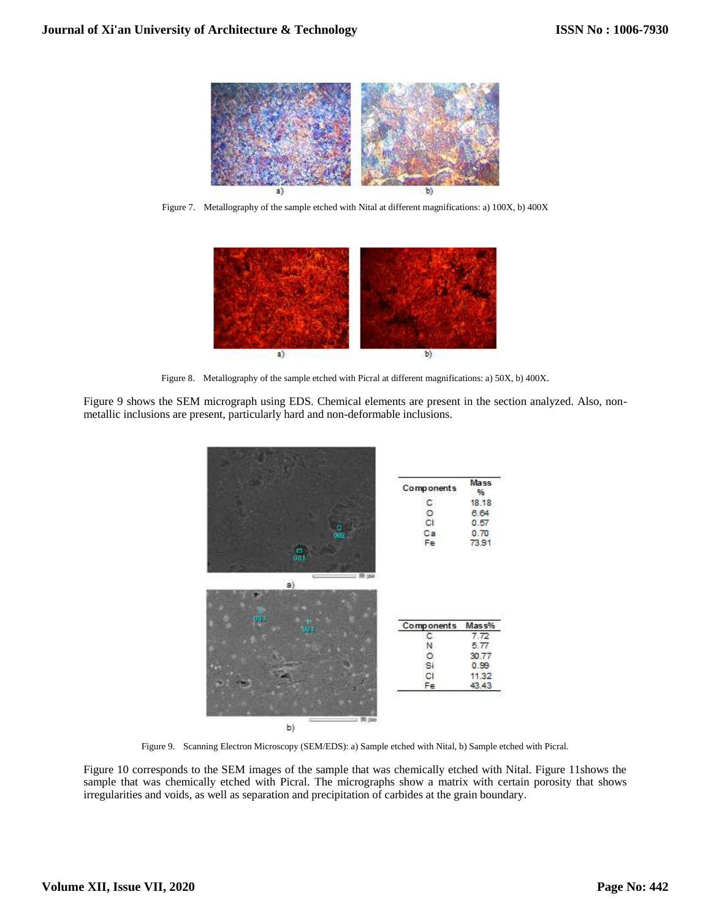

Figure 7. Metallography of the sample etched with Nital at different magnifications: a) 100X, b) 400X



Figure 8. Metallography of the sample etched with Picral at different magnifications: a) 50X, b) 400X.

Figure 9 shows the SEM micrograph using EDS. Chemical elements are present in the section analyzed. Also, nonmetallic inclusions are present, particularly hard and non-deformable inclusions.



Figure 9. Scanning Electron Microscopy (SEM/EDS): a) Sample etched with Nital, b) Sample etched with Picral.

Figure 10 corresponds to the SEM images of the sample that was chemically etched with Nital. Figure 11shows the sample that was chemically etched with Picral. The micrographs show a matrix with certain porosity that shows irregularities and voids, as well as separation and precipitation of carbides at the grain boundary.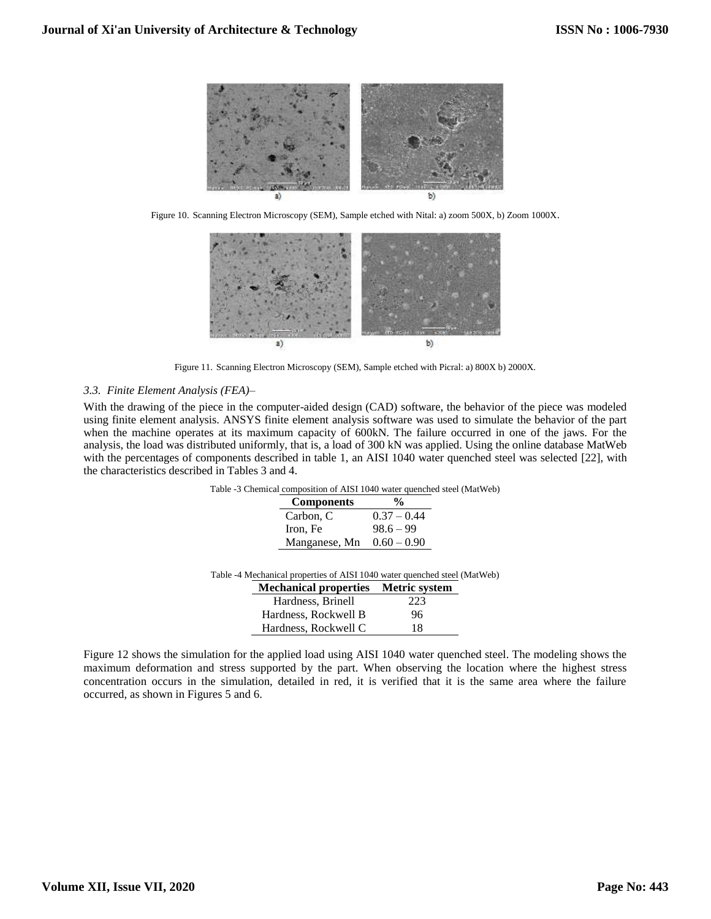

Figure 10. Scanning Electron Microscopy (SEM), Sample etched with Nital: a) zoom 500X, b) Zoom 1000X.



Figure 11. Scanning Electron Microscopy (SEM), Sample etched with Picral: a) 800X b) 2000X.

## *3.3. Finite Element Analysis (FEA)–*

With the drawing of the piece in the computer-aided design (CAD) software, the behavior of the piece was modeled using finite element analysis. ANSYS finite element analysis software was used to simulate the behavior of the part when the machine operates at its maximum capacity of 600kN. The failure occurred in one of the jaws. For the analysis, the load was distributed uniformly, that is, a load of 300 kN was applied. Using the online database MatWeb with the percentages of components described in table 1, an AISI 1040 water quenched steel was selected [22], with the characteristics described in Tables 3 and 4.

| Table -3 Chemical composition of AISI 1040 water quenched steel (MatWeb) |  |
|--------------------------------------------------------------------------|--|
|--------------------------------------------------------------------------|--|

| <b>Components</b> | %             |
|-------------------|---------------|
| Carbon, C         | $0.37 - 0.44$ |
| Iron, Fe          | $98.6 - 99$   |
| Manganese, Mn     | $0.60 - 0.90$ |

Table -4 Mechanical properties of AISI 1040 water quenched steel (MatWeb)

| <b>Mechanical properties</b> Metric system |     |
|--------------------------------------------|-----|
| Hardness, Brinell                          | 223 |
| Hardness, Rockwell B                       | 96  |
| Hardness, Rockwell C                       | 18  |

Figure 12 shows the simulation for the applied load using AISI 1040 water quenched steel. The modeling shows the maximum deformation and stress supported by the part. When observing the location where the highest stress concentration occurs in the simulation, detailed in red, it is verified that it is the same area where the failure occurred, as shown in Figures 5 and 6.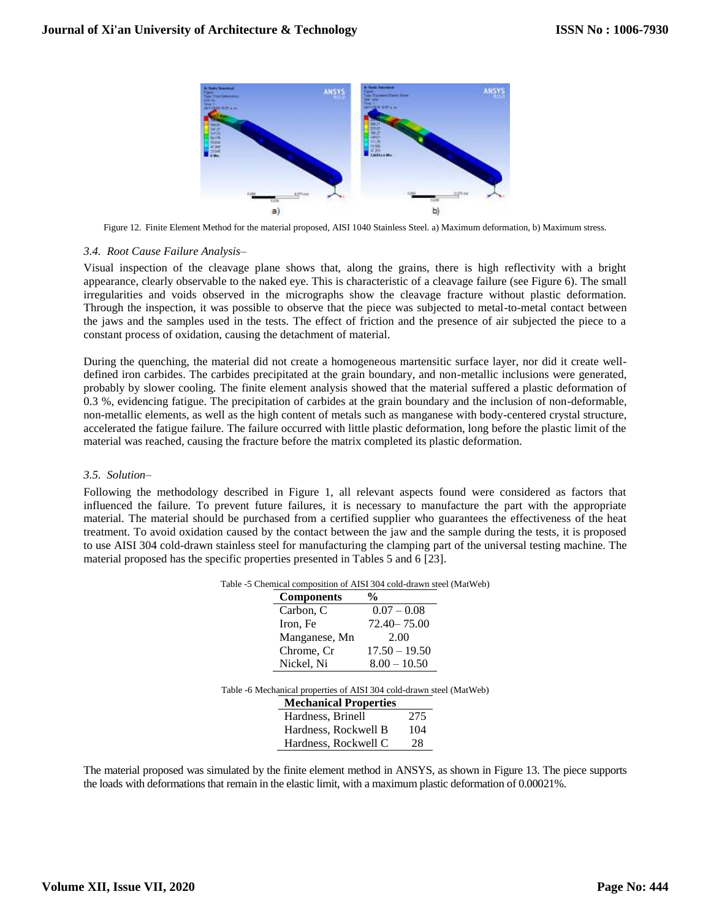

Figure 12. Finite Element Method for the material proposed, AISI 1040 Stainless Steel. a) Maximum deformation, b) Maximum stress.

## *3.4. Root Cause Failure Analysis–*

Visual inspection of the cleavage plane shows that, along the grains, there is high reflectivity with a bright appearance, clearly observable to the naked eye. This is characteristic of a cleavage failure (see Figure 6). The small irregularities and voids observed in the micrographs show the cleavage fracture without plastic deformation. Through the inspection, it was possible to observe that the piece was subjected to metal-to-metal contact between the jaws and the samples used in the tests. The effect of friction and the presence of air subjected the piece to a constant process of oxidation, causing the detachment of material.

During the quenching, the material did not create a homogeneous martensitic surface layer, nor did it create welldefined iron carbides. The carbides precipitated at the grain boundary, and non-metallic inclusions were generated, probably by slower cooling. The finite element analysis showed that the material suffered a plastic deformation of 0.3 %, evidencing fatigue. The precipitation of carbides at the grain boundary and the inclusion of non-deformable, non-metallic elements, as well as the high content of metals such as manganese with body-centered crystal structure, accelerated the fatigue failure. The failure occurred with little plastic deformation, long before the plastic limit of the material was reached, causing the fracture before the matrix completed its plastic deformation.

#### *3.5. Solution–*

Following the methodology described in Figure 1, all relevant aspects found were considered as factors that influenced the failure. To prevent future failures, it is necessary to manufacture the part with the appropriate material. The material should be purchased from a certified supplier who guarantees the effectiveness of the heat treatment. To avoid oxidation caused by the contact between the jaw and the sample during the tests, it is proposed to use AISI 304 cold-drawn stainless steel for manufacturing the clamping part of the universal testing machine. The material proposed has the specific properties presented in Tables 5 and 6 [23].

| Table -5 Chemical composition of AISI 304 cold-drawn steel (MatWeb) |
|---------------------------------------------------------------------|
|---------------------------------------------------------------------|

| <b>Components</b>                                                    | %                            |                 |
|----------------------------------------------------------------------|------------------------------|-----------------|
| Carbon, C                                                            |                              | $0.07 - 0.08$   |
| Iron, Fe                                                             |                              | $72.40 - 75.00$ |
| Manganese, Mn                                                        |                              | 2.00            |
| Chrome, Cr                                                           |                              | $17.50 - 19.50$ |
| Nickel, Ni                                                           |                              | $8.00 - 10.50$  |
| Table -6 Mechanical properties of AISI 304 cold-drawn steel (MatWeb) |                              |                 |
|                                                                      | <b>Mechanical Properties</b> |                 |
|                                                                      | Hardness, Brinell            | 275             |

The material proposed was simulated by the finite element method in ANSYS, as shown in Figure 13. The piece supports the loads with deformations that remain in the elastic limit, with a maximum plastic deformation of 0.00021%.

Hardness, Rockwell B 104 Hardness, Rockwell C 28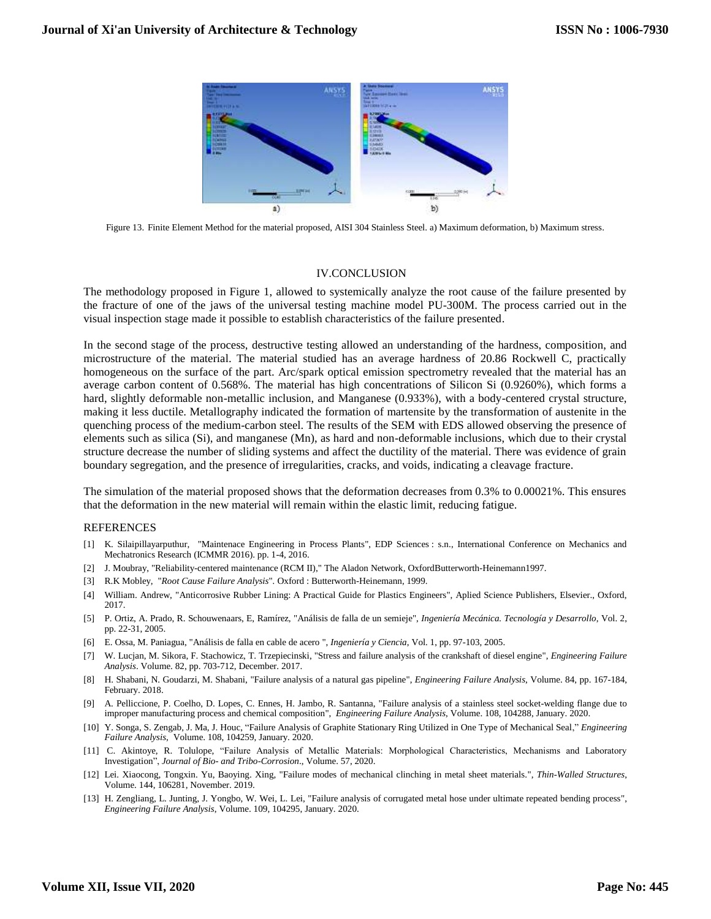

Figure 13. Finite Element Method for the material proposed, AISI 304 Stainless Steel. a) Maximum deformation, b) Maximum stress.

#### IV.CONCLUSION

The methodology proposed in Figure 1, allowed to systemically analyze the root cause of the failure presented by the fracture of one of the jaws of the universal testing machine model PU-300M. The process carried out in the visual inspection stage made it possible to establish characteristics of the failure presented.

In the second stage of the process, destructive testing allowed an understanding of the hardness, composition, and microstructure of the material. The material studied has an average hardness of 20.86 Rockwell C, practically homogeneous on the surface of the part. Arc/spark optical emission spectrometry revealed that the material has an average carbon content of 0.568%. The material has high concentrations of Silicon Si (0.9260%), which forms a hard, slightly deformable non-metallic inclusion, and Manganese (0.933%), with a body-centered crystal structure, making it less ductile. Metallography indicated the formation of martensite by the transformation of austenite in the quenching process of the medium-carbon steel. The results of the SEM with EDS allowed observing the presence of elements such as silica (Si), and manganese (Mn), as hard and non-deformable inclusions, which due to their crystal structure decrease the number of sliding systems and affect the ductility of the material. There was evidence of grain boundary segregation, and the presence of irregularities, cracks, and voids, indicating a cleavage fracture.

The simulation of the material proposed shows that the deformation decreases from 0.3% to 0.00021%. This ensures that the deformation in the new material will remain within the elastic limit, reducing fatigue.

#### **REFERENCES**

- [1] K. Silaipillayarputhur, "Maintenace Engineering in Process Plants", EDP Sciences : s.n., International Conference on Mechanics and Mechatronics Research (ICMMR 2016). pp. 1-4, 2016.
- [2] J. Moubray, "Reliability-centered maintenance (RCM II)," The Aladon Network, OxfordButterworth-Heinemann1997.
- [3] R.K Mobley, "*Root Cause Failure Analysis*"*.* Oxford : Butterworth-Heinemann, 1999.
- [4] William. Andrew, "Anticorrosive Rubber Lining: A Practical Guide for Plastics Engineers", Aplied Science Publishers, Elsevier., Oxford, 2017.
- [5] P. Ortiz, A. Prado, R. Schouwenaars, E, Ramírez, "Análisis de falla de un semieje", *Ingeniería Mecánica. Tecnología y Desarrollo*, Vol. 2, pp. 22-31, 2005.
- [6] E. Ossa, M. Paniagua, "Análisis de falla en cable de acero ", *Ingeniería y Ciencia*, Vol. 1, pp. 97-103, 2005.
- [7] W. Lucjan, M. Sikora, F. Stachowicz, T. Trzepiecinski, "Stress and failure analysis of the crankshaft of diesel engine", *Engineering Failure Analysis*. [Volume.](https://www.sciencedirect.com/science/journal/13506307/82/supp/C) 82, pp. 703-712, December. 2017.
- [8] H. Shabani, N. Goudarzi, M. Shabani, "Failure analysis of a natural gas pipeline", *Engineering Failure Analysis*, Volume. 84, pp. 167-184, February. 2018.
- [9] A. Pelliccione, P. Coelho, D. Lopes, C. Ennes, H. Jambo, R. Santanna, "Failure analysis of a stainless steel socket-welding flange due to improper manufacturing process and chemical composition", *Engineering Failure Analysis*, Volume. 108, 104288, January. 2020.
- [10] Y. Songa, S. Zengab, J. Ma, J. Houc, "Failure Analysis of Graphite Stationary Ring Utilized in One Type of Mechanical Seal," *Engineering Failure Analysis*, Volume. 108, 104259, January. 2020.
- [11] [C. Akintoye, R](https://link.springer.com/article/10.1007/s40735-020-00353-y#auth-1). [Tolulope, "](https://link.springer.com/article/10.1007/s40735-020-00353-y#auth-2)Failure Analysis of Metallic Materials: Morphological Characteristics, Mechanisms and Laboratory Investigation", *Journal of Bio- and Tribo-Corrosion*., Volume. 57, 2020.
- [12] Lei. Xiaocong, Tongxin. Yu, Baoying. Xing, "Failure modes of mechanical clinching in metal sheet materials.", *Thin-Walled Structures*, Volume. 144, 106281, November. 2019.
- [13] H. Zengliang, L. Junting, J. Yongbo, W. Wei, L. Lei, "Failure analysis of corrugated metal hose under ultimate repeated bending process", *Engineering Failure Analysis*, Volume. 109, 104295, January. 2020.